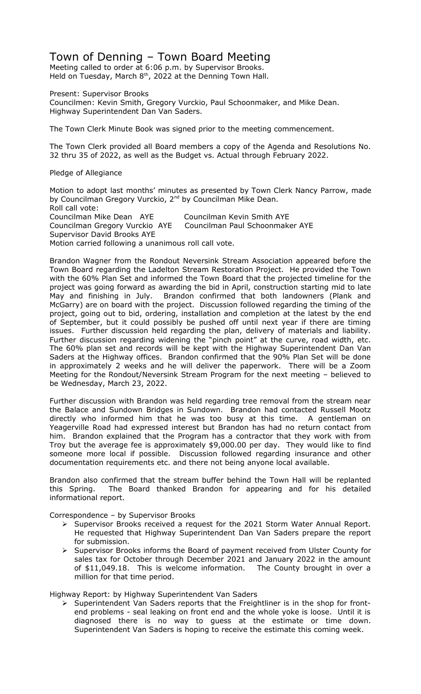# Town of Denning – Town Board Meeting

Meeting called to order at 6:06 p.m. by Supervisor Brooks. Held on Tuesday, March  $8<sup>th</sup>$ , 2022 at the Denning Town Hall.

Present: Supervisor Brooks

Councilmen: Kevin Smith, Gregory Vurckio, Paul Schoonmaker, and Mike Dean. Highway Superintendent Dan Van Saders.

The Town Clerk Minute Book was signed prior to the meeting commencement.

The Town Clerk provided all Board members a copy of the Agenda and Resolutions No. 32 thru 35 of 2022, as well as the Budget vs. Actual through February 2022.

Pledge of Allegiance

Motion to adopt last months' minutes as presented by Town Clerk Nancy Parrow, made by Councilman Gregory Vurckio, 2<sup>nd</sup> by Councilman Mike Dean. Roll call vote: Councilman Mike Dean AYE Councilman Kevin Smith AYE<br>Councilman Gregory Vurckio AYE Councilman Paul Schoonmaker AYE Councilman Gregory Vurckio AYE Supervisor David Brooks AYE Motion carried following a unanimous roll call vote.

Brandon Wagner from the Rondout Neversink Stream Association appeared before the Town Board regarding the Ladelton Stream Restoration Project. He provided the Town with the 60% Plan Set and informed the Town Board that the projected timeline for the project was going forward as awarding the bid in April, construction starting mid to late May and finishing in July. Brandon confirmed that both landowners (Plank and McGarry) are on board with the project. Discussion followed regarding the timing of the project, going out to bid, ordering, installation and completion at the latest by the end of September, but it could possibly be pushed off until next year if there are timing issues. Further discussion held regarding the plan, delivery of materials and liability. Further discussion regarding widening the "pinch point" at the curve, road width, etc. The 60% plan set and records will be kept with the Highway Superintendent Dan Van Saders at the Highway offices. Brandon confirmed that the 90% Plan Set will be done in approximately 2 weeks and he will deliver the paperwork. There will be a Zoom Meeting for the Rondout/Neversink Stream Program for the next meeting – believed to be Wednesday, March 23, 2022.

Further discussion with Brandon was held regarding tree removal from the stream near the Balace and Sundown Bridges in Sundown. Brandon had contacted Russell Mootz directly who informed him that he was too busy at this time. A gentleman on Yeagerville Road had expressed interest but Brandon has had no return contact from him. Brandon explained that the Program has a contractor that they work with from Troy but the average fee is approximately \$9,000.00 per day. They would like to find someone more local if possible. Discussion followed regarding insurance and other documentation requirements etc. and there not being anyone local available.

Brandon also confirmed that the stream buffer behind the Town Hall will be replanted this Spring. The Board thanked Brandon for appearing and for his detailed informational report.

Correspondence – by Supervisor Brooks

- Supervisor Brooks received a request for the 2021 Storm Water Annual Report. He requested that Highway Superintendent Dan Van Saders prepare the report for submission.
- $\triangleright$  Supervisor Brooks informs the Board of payment received from Ulster County for sales tax for October through December 2021 and January 2022 in the amount of \$11,049.18. This is welcome information. The County brought in over a million for that time period.

Highway Report: by Highway Superintendent Van Saders

 $\triangleright$  Superintendent Van Saders reports that the Freightliner is in the shop for frontend problems - seal leaking on front end and the whole yoke is loose. Until it is diagnosed there is no way to guess at the estimate or time down. Superintendent Van Saders is hoping to receive the estimate this coming week.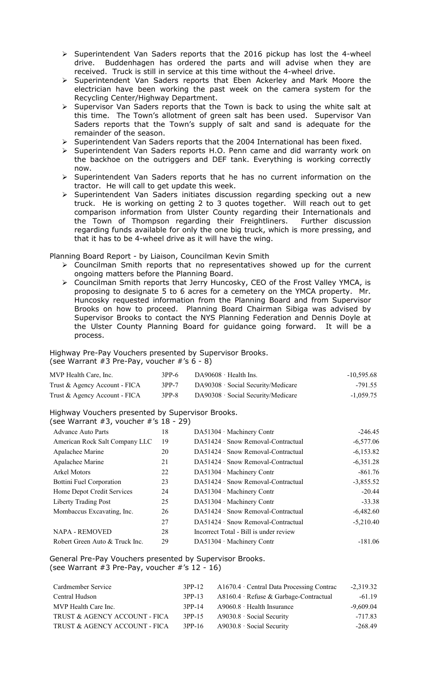- $\triangleright$  Superintendent Van Saders reports that the 2016 pickup has lost the 4-wheel drive. Buddenhagen has ordered the parts and will advise when they are received. Truck is still in service at this time without the 4-wheel drive.
- $\triangleright$  Superintendent Van Saders reports that Eben Ackerley and Mark Moore the electrician have been working the past week on the camera system for the Recycling Center/Highway Department.
- $\triangleright$  Supervisor Van Saders reports that the Town is back to using the white salt at this time. The Town's allotment of green salt has been used. Supervisor Van Saders reports that the Town's supply of salt and sand is adequate for the remainder of the season.
- $\triangleright$  Superintendent Van Saders reports that the 2004 International has been fixed.
- > Superintendent Van Saders reports H.O. Penn came and did warranty work on the backhoe on the outriggers and DEF tank. Everything is working correctly now.
- $\triangleright$  Superintendent Van Saders reports that he has no current information on the tractor. He will call to get update this week.
- > Superintendent Van Saders initiates discussion regarding specking out a new truck. He is working on getting 2 to 3 quotes together. Will reach out to get comparison information from Ulster County regarding their Internationals and the Town of Thompson regarding their Freightliners. Further discussion regarding funds available for only the one big truck, which is more pressing, and that it has to be 4-wheel drive as it will have the wing.

Planning Board Report - by Liaison, Councilman Kevin Smith

- $\triangleright$  Councilman Smith reports that no representatives showed up for the current ongoing matters before the Planning Board.
- Councilman Smith reports that Jerry Huncosky, CEO of the Frost Valley YMCA, is proposing to designate 5 to 6 acres for a cemetery on the YMCA property. Mr. Huncosky requested information from the Planning Board and from Supervisor Brooks on how to proceed. Planning Board Chairman Sibiga was advised by Supervisor Brooks to contact the NYS Planning Federation and Dennis Doyle at the Ulster County Planning Board for guidance going forward. It will be a process.

Highway Pre-Pay Vouchers presented by Supervisor Brooks. (see Warrant #3 Pre-Pay, voucher #'s 6 - 8)

| MVP Health Care, Inc.         | $3PP-6$ | $DA90608 \cdot Health Ins.$      | $-10,595.68$ |
|-------------------------------|---------|----------------------------------|--------------|
| Trust & Agency Account - FICA | $3PP-7$ | DA90308 Social Security/Medicare | $-791.55$    |
| Trust & Agency Account - FICA | $3PP-8$ | DA90308 Social Security/Medicare | $-1,059.75$  |

Highway Vouchers presented by Supervisor Brooks.

(see Warrant #3, voucher #'s 18 - 29)

| <b>Advance Auto Parts</b>      | 18 | DA51304 Machinery Contr                  | $-246.45$   |
|--------------------------------|----|------------------------------------------|-------------|
| American Rock Salt Company LLC | 19 | DA51424 · Snow Removal-Contractual       | $-6,577.06$ |
| Apalachee Marine               | 20 | DA51424 Snow Removal-Contractual         | $-6,153.82$ |
| Apalachee Marine               | 21 | $D451424 \cdot$ Snow Removal-Contractual | $-6,351.28$ |
| <b>Arkel Motors</b>            | 22 | DA51304 Machinery Contr                  | $-861.76$   |
| Bottini Fuel Corporation       | 23 | DA51424 Snow Removal-Contractual         | $-3,855.52$ |
| Home Depot Credit Services     | 24 | DA51304 Machinery Contr                  | $-20.44$    |
| Liberty Trading Post           | 25 | DA51304 Machinery Contr                  | $-33.38$    |
| Mombaccus Excavating, Inc.     | 26 | DA51424 Snow Removal-Contractual         | $-6,482.60$ |
|                                | 27 | DA51424 Snow Removal-Contractual         | $-5,210.40$ |
| <b>NAPA - REMOVED</b>          | 28 | Incorrect Total - Bill is under review   |             |
| Robert Green Auto & Truck Inc. | 29 | DA51304 Machinery Contr                  | $-181.06$   |

General Pre-Pay Vouchers presented by Supervisor Brooks. (see Warrant #3 Pre-Pay, voucher #'s 12 - 16)

| 3PP-12 | A1670.4 Central Data Processing Contrac | $-2,319.32$ |
|--------|-----------------------------------------|-------------|
| 3PP-13 | $A8160.4$ Refuse & Garbage-Contractual  | $-61.19$    |
| 3PP-14 | $A9060.8$ Health Insurance              | $-9,609.04$ |
| 3PP-15 | A9030.8 Social Security                 | $-717.83$   |
| 3PP-16 | A9030.8 Social Security                 | $-268.49$   |
|        |                                         |             |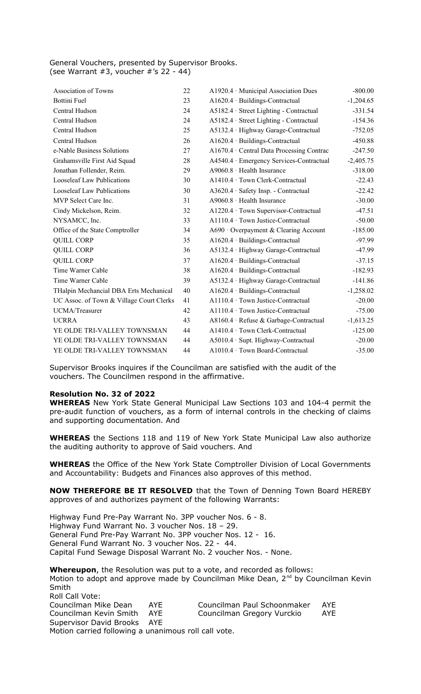### General Vouchers, presented by Supervisor Brooks. (see Warrant  $#3$ , voucher  $#′s$  22 - 44)

| <b>Association of Towns</b>              | 22 | A1920.4 Municipal Association Dues      | $-800.00$   |
|------------------------------------------|----|-----------------------------------------|-------------|
| <b>Bottini Fuel</b>                      | 23 | A1620.4 · Buildings-Contractual         | $-1,204.65$ |
| Central Hudson                           | 24 | A5182.4 Street Lighting - Contractual   | $-331.54$   |
| Central Hudson                           | 24 | A5182.4 Street Lighting - Contractual   | $-154.36$   |
| Central Hudson                           | 25 | A5132.4 · Highway Garage-Contractual    | $-752.05$   |
| Central Hudson                           | 26 | A1620.4 · Buildings-Contractual         | $-450.88$   |
| e-Nable Business Solutions               | 27 | A1670.4 Central Data Processing Contrac | $-247.50$   |
| Grahamsville First Aid Squad             | 28 | A4540.4 Emergency Services-Contractual  | $-2,405.75$ |
| Jonathan Follender, Reim.                | 29 | A9060.8 · Health Insurance              | $-318.00$   |
| <b>Looseleaf Law Publications</b>        | 30 | A1410.4 Town Clerk-Contractual          | $-22.43$    |
| <b>Looseleaf Law Publications</b>        | 30 | A3620.4 · Safety Insp. - Contractual    | $-22.42$    |
| MVP Select Care Inc.                     | 31 | $A9060.8$ Health Insurance              | $-30.00$    |
| Cindy Mickelson, Reim.                   | 32 | A1220.4 Town Supervisor-Contractual     | $-47.51$    |
| NYSAMCC, Inc.                            | 33 | A1110.4 Town Justice-Contractual        | $-50.00$    |
| Office of the State Comptroller          | 34 | A690 Overpayment & Clearing Account     | $-185.00$   |
| <b>QUILL CORP</b>                        | 35 | A1620.4 · Buildings-Contractual         | $-97.99$    |
| <b>QUILL CORP</b>                        | 36 | A5132.4 · Highway Garage-Contractual    | $-47.99$    |
| <b>QUILL CORP</b>                        | 37 | A1620.4 · Buildings-Contractual         | $-37.15$    |
| Time Warner Cable                        | 38 | A1620.4 · Buildings-Contractual         | $-182.93$   |
| Time Warner Cable                        | 39 | A5132.4 · Highway Garage-Contractual    | $-141.86$   |
| THalpin Mechancial DBA Erts Mechanical   | 40 | A1620.4 · Buildings-Contractual         | $-1,258.02$ |
| UC Assoc. of Town & Village Court Clerks | 41 | A1110.4 Town Justice-Contractual        | $-20.00$    |
| UCMA/Treasurer                           | 42 | A1110.4 Town Justice-Contractual        | $-75.00$    |
| <b>UCRRA</b>                             | 43 | A8160.4 · Refuse & Garbage-Contractual  | $-1,613.25$ |
| YE OLDE TRI-VALLEY TOWNSMAN              | 44 | A1410.4 Town Clerk-Contractual          | $-125.00$   |
| YE OLDE TRI-VALLEY TOWNSMAN              | 44 | A5010.4 · Supt. Highway-Contractual     | $-20.00$    |
| YE OLDE TRI-VALLEY TOWNSMAN              | 44 | A1010.4 Town Board-Contractual          | $-35.00$    |
|                                          |    |                                         |             |

Supervisor Brooks inquires if the Councilman are satisfied with the audit of the vouchers. The Councilmen respond in the affirmative.

## **Resolution No. 32 of 2022**

**WHEREAS** New York State General Municipal Law Sections 103 and 104-4 permit the pre-audit function of vouchers, as a form of internal controls in the checking of claims and supporting documentation. And

**WHEREAS** the Sections 118 and 119 of New York State Municipal Law also authorize the auditing authority to approve of Said vouchers. And

**WHEREAS** the Office of the New York State Comptroller Division of Local Governments and Accountability: Budgets and Finances also approves of this method.

**NOW THEREFORE BE IT RESOLVED** that the Town of Denning Town Board HEREBY approves of and authorizes payment of the following Warrants:

Highway Fund Pre-Pay Warrant No. 3PP voucher Nos. 6 - 8. Highway Fund Warrant No. 3 voucher Nos. 18 – 29. General Fund Pre-Pay Warrant No. 3PP voucher Nos. 12 - 16. General Fund Warrant No. 3 voucher Nos. 22 - 44. Capital Fund Sewage Disposal Warrant No. 2 voucher Nos. - None.

**Whereupon**, the Resolution was put to a vote, and recorded as follows: Motion to adopt and approve made by Councilman Mike Dean, 2<sup>nd</sup> by Councilman Kevin Smith

Roll Call Vote:<br>Councilman Mike Dean AYE Councilman Paul Schoonmaker AYE Councilman Kevin Smith AYE Councilman Gregory Vurckio AYE Supervisor David Brooks AYE Motion carried following a unanimous roll call vote.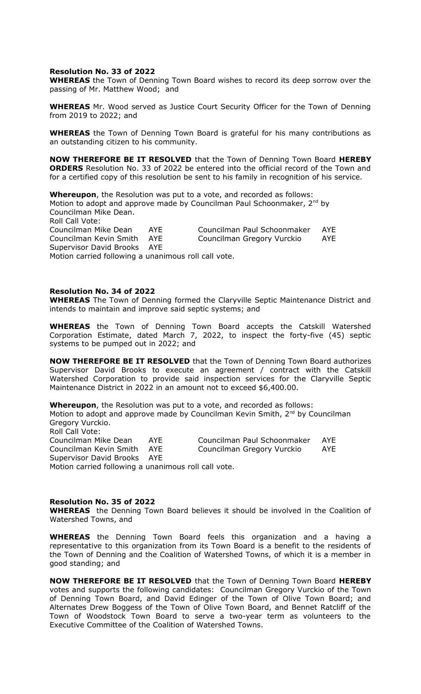#### **Resolution No. 33 of 2022**

**WHEREAS** the Town of Denning Town Board wishes to record its deep sorrow over the passing of Mr. Matthew Wood; and

**WHEREAS** Mr. Wood served as Justice Court Security Officer for the Town of Denning from 2019 to 2022; and

**WHEREAS** the Town of Denning Town Board is grateful for his many contributions as an outstanding citizen to his community.

**NOW THEREFORE BE IT RESOLVED** that the Town of Denning Town Board **HEREBY ORDERS** Resolution No. 33 of 2022 be entered into the official record of the Town and for a certified copy of this resolution be sent to his family in recognition of his service.

**Whereupon**, the Resolution was put to a vote, and recorded as follows: Motion to adopt and approve made by Councilman Paul Schoonmaker,  $2^{nd}$  by Councilman Mike Dean. Roll Call Vote: Councilman Mike Dean AYE Councilman Paul Schoonmaker AYE Councilman Kevin Smith AYE Councilman Gregory Vurckio AYE Supervisor David Brooks AYE Motion carried following a unanimous roll call vote.

## **Resolution No. 34 of 2022**

**WHEREAS** The Town of Denning formed the Claryville Septic Maintenance District and intends to maintain and improve said septic systems; and

**WHEREAS** the Town of Denning Town Board accepts the Catskill Watershed Corporation Estimate, dated March 7, 2022, to inspect the forty-five (45) septic systems to be pumped out in 2022; and

**NOW THEREFORE BE IT RESOLVED** that the Town of Denning Town Board authorizes Supervisor David Brooks to execute an agreement / contract with the Catskill Watershed Corporation to provide said inspection services for the Claryville Septic Maintenance District in 2022 in an amount not to exceed \$6,400.00.

**Whereupon**, the Resolution was put to a vote, and recorded as follows: Motion to adopt and approve made by Councilman Kevin Smith,  $2<sup>nd</sup>$  by Councilman Gregory Vurckio. Roll Call Vote:<br>Councilman Mike Dean AYE Councilman Paul Schoonmaker AYE Councilman Kevin Smith AYE Councilman Gregory Vurckio AYE Supervisor David Brooks AYE Motion carried following a unanimous roll call vote.

#### **Resolution No. 35 of 2022**

**WHEREAS** the Denning Town Board believes it should be involved in the Coalition of Watershed Towns, and

**WHEREAS** the Denning Town Board feels this organization and a having a representative to this organization from its Town Board is a benefit to the residents of the Town of Denning and the Coalition of Watershed Towns, of which it is a member in good standing; and

**NOW THEREFORE BE IT RESOLVED** that the Town of Denning Town Board **HEREBY** votes and supports the following candidates: Councilman Gregory Vurckio of the Town of Denning Town Board, and David Edinger of the Town of Olive Town Board; and Alternates Drew Boggess of the Town of Olive Town Board, and Bennet Ratcliff of the Town of Woodstock Town Board to serve a two-year term as volunteers to the Executive Committee of the Coalition of Watershed Towns.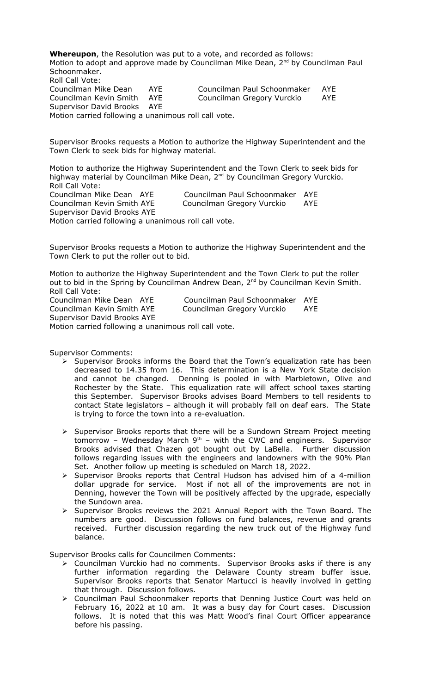**Whereupon**, the Resolution was put to a vote, and recorded as follows: Motion to adopt and approve made by Councilman Mike Dean, 2<sup>nd</sup> by Councilman Paul Schoonmaker. Roll Call Vote: Councilman Mike Dean AYE Councilman Paul Schoonmaker AYE Councilman Kevin Smith AYE Councilman Gregory Vurckio AYE Supervisor David Brooks AYE Motion carried following a unanimous roll call vote.

Supervisor Brooks requests a Motion to authorize the Highway Superintendent and the Town Clerk to seek bids for highway material.

Motion to authorize the Highway Superintendent and the Town Clerk to seek bids for highway material by Councilman Mike Dean, 2<sup>nd</sup> by Councilman Gregory Vurckio. Roll Call Vote: Councilman Mike Dean AYE Councilman Paul Schoonmaker AYE Councilman Kevin Smith AYE Councilman Gregory Vurckio AYE Supervisor David Brooks AYE Motion carried following a unanimous roll call vote.

Supervisor Brooks requests a Motion to authorize the Highway Superintendent and the Town Clerk to put the roller out to bid.

Motion to authorize the Highway Superintendent and the Town Clerk to put the roller out to bid in the Spring by Councilman Andrew Dean, 2<sup>nd</sup> by Councilman Kevin Smith. Roll Call Vote:

Supervisor David Brooks AYE

Councilman Mike Dean AYE Councilman Paul Schoonmaker AYE Councilman Kevin Smith AYE Councilman Gregory Vurckio AYE

Motion carried following a unanimous roll call vote.

Supervisor Comments:

- $\triangleright$  Supervisor Brooks informs the Board that the Town's equalization rate has been decreased to 14.35 from 16. This determination is a New York State decision and cannot be changed. Denning is pooled in with Marbletown, Olive and Rochester by the State. This equalization rate will affect school taxes starting this September. Supervisor Brooks advises Board Members to tell residents to contact State legislators – although it will probably fall on deaf ears. The State is trying to force the town into a re-evaluation.
- > Supervisor Brooks reports that there will be a Sundown Stream Project meeting tomorrow - Wednesday March  $9<sup>th</sup>$  – with the CWC and engineers. Supervisor Brooks advised that Chazen got bought out by LaBella. Further discussion follows regarding issues with the engineers and landowners with the 90% Plan Set. Another follow up meeting is scheduled on March 18, 2022.
- > Supervisor Brooks reports that Central Hudson has advised him of a 4-million dollar upgrade for service. Most if not all of the improvements are not in Denning, however the Town will be positively affected by the upgrade, especially the Sundown area.
- $\triangleright$  Supervisor Brooks reviews the 2021 Annual Report with the Town Board. The numbers are good. Discussion follows on fund balances, revenue and grants received. Further discussion regarding the new truck out of the Highway fund balance.

Supervisor Brooks calls for Councilmen Comments:

- Councilman Vurckio had no comments. Supervisor Brooks asks if there is any further information regarding the Delaware County stream buffer issue. Supervisor Brooks reports that Senator Martucci is heavily involved in getting that through. Discussion follows.
- Councilman Paul Schoonmaker reports that Denning Justice Court was held on February 16, 2022 at 10 am. It was a busy day for Court cases. Discussion follows. It is noted that this was Matt Wood's final Court Officer appearance before his passing.